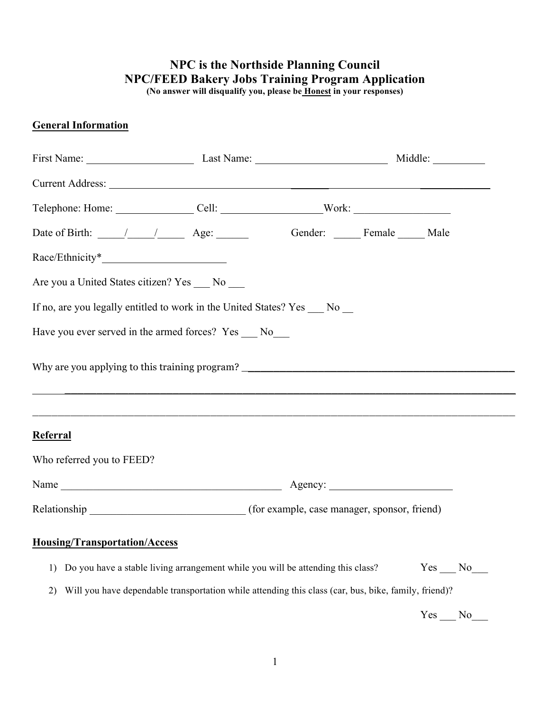# **NPC is the Northside Planning Council NPC/FEED Bakery Jobs Training Program Application**

**(No answer will disqualify you, please be Honest in your responses)**

## **General Information**

| Current Address: <u>Current</u> Address: 2008. The Current Address: 2008. The Current Address: 2008. The Current Address: 2008. The Current Address: 2008. The Current Address: 2008. The Current Address: 2008. The Current Addres |                                                                                                      |  |        |
|-------------------------------------------------------------------------------------------------------------------------------------------------------------------------------------------------------------------------------------|------------------------------------------------------------------------------------------------------|--|--------|
|                                                                                                                                                                                                                                     |                                                                                                      |  |        |
|                                                                                                                                                                                                                                     |                                                                                                      |  |        |
|                                                                                                                                                                                                                                     |                                                                                                      |  |        |
| Are you a United States citizen? Yes ___ No ___                                                                                                                                                                                     |                                                                                                      |  |        |
| If no, are you legally entitled to work in the United States? Yes __ No _                                                                                                                                                           |                                                                                                      |  |        |
| Have you ever served in the armed forces? Yes ___ No ___                                                                                                                                                                            |                                                                                                      |  |        |
| Why are you applying to this training program? __________________________________                                                                                                                                                   |                                                                                                      |  |        |
| Referral                                                                                                                                                                                                                            |                                                                                                      |  |        |
| Who referred you to FEED?                                                                                                                                                                                                           |                                                                                                      |  |        |
|                                                                                                                                                                                                                                     |                                                                                                      |  |        |
|                                                                                                                                                                                                                                     |                                                                                                      |  |        |
| <b>Housing/Transportation/Access</b>                                                                                                                                                                                                |                                                                                                      |  |        |
| 1)                                                                                                                                                                                                                                  | Do you have a stable living arrangement while you will be attending this class?                      |  | Yes No |
| 2)                                                                                                                                                                                                                                  | Will you have dependable transportation while attending this class (car, bus, bike, family, friend)? |  |        |
|                                                                                                                                                                                                                                     |                                                                                                      |  | Yes No |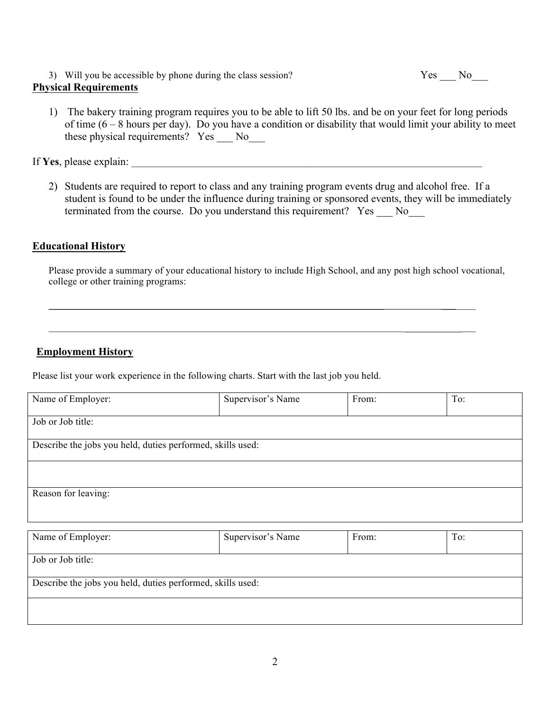3) Will you be accessible by phone during the class session? Yes No

#### **Physical Requirements**

1) The bakery training program requires you to be able to lift 50 lbs. and be on your feet for long periods of time  $(6 - 8$  hours per day). Do you have a condition or disability that would limit your ability to meet these physical requirements? Yes \_\_\_ No\_\_\_

If Yes, please explain:

2) Students are required to report to class and any training program events drug and alcohol free. If a student is found to be under the influence during training or sponsored events, they will be immediately terminated from the course. Do you understand this requirement? Yes No

#### **Educational History**

Please provide a summary of your educational history to include High School, and any post high school vocational, college or other training programs:

 $\mathcal{L}_\mathcal{L} = \mathcal{L}_\mathcal{L} = \mathcal{L}_\mathcal{L} = \mathcal{L}_\mathcal{L} = \mathcal{L}_\mathcal{L} = \mathcal{L}_\mathcal{L} = \mathcal{L}_\mathcal{L} = \mathcal{L}_\mathcal{L} = \mathcal{L}_\mathcal{L} = \mathcal{L}_\mathcal{L} = \mathcal{L}_\mathcal{L} = \mathcal{L}_\mathcal{L} = \mathcal{L}_\mathcal{L} = \mathcal{L}_\mathcal{L} = \mathcal{L}_\mathcal{L} = \mathcal{L}_\mathcal{L} = \mathcal{L}_\mathcal{L}$ 

 $\mathcal{L}_\text{max} = \mathcal{L}_\text{max} = \mathcal{L}_\text{max} = \mathcal{L}_\text{max} = \mathcal{L}_\text{max} = \mathcal{L}_\text{max} = \mathcal{L}_\text{max} = \mathcal{L}_\text{max} = \mathcal{L}_\text{max} = \mathcal{L}_\text{max} = \mathcal{L}_\text{max} = \mathcal{L}_\text{max} = \mathcal{L}_\text{max} = \mathcal{L}_\text{max} = \mathcal{L}_\text{max} = \mathcal{L}_\text{max} = \mathcal{L}_\text{max} = \mathcal{L}_\text{max} = \mathcal{$ 

### **Employment History**

Please list your work experience in the following charts. Start with the last job you held.

| Name of Employer:                                          | Supervisor's Name | From: | To: |
|------------------------------------------------------------|-------------------|-------|-----|
|                                                            |                   |       |     |
| Job or Job title:                                          |                   |       |     |
|                                                            |                   |       |     |
| Describe the jobs you held, duties performed, skills used: |                   |       |     |
|                                                            |                   |       |     |
|                                                            |                   |       |     |
|                                                            |                   |       |     |
| Reason for leaving:                                        |                   |       |     |
|                                                            |                   |       |     |
|                                                            |                   |       |     |

| Name of Employer:                                          | Supervisor's Name | From: | To: |
|------------------------------------------------------------|-------------------|-------|-----|
| Job or Job title:                                          |                   |       |     |
| Describe the jobs you held, duties performed, skills used: |                   |       |     |
|                                                            |                   |       |     |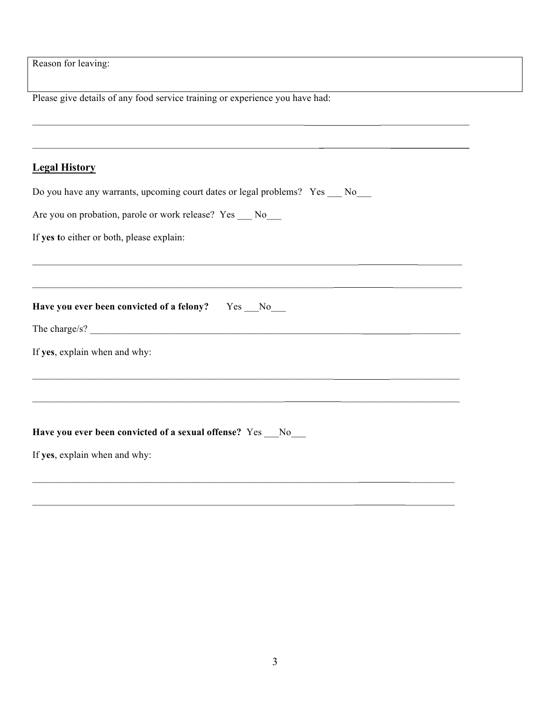Reason for leaving:

Please give details of any food service training or experience you have had:

#### **Legal History**

| Do you have any warrants, upcoming court dates or legal problems? Yes |  |  |  |  |
|-----------------------------------------------------------------------|--|--|--|--|
|-----------------------------------------------------------------------|--|--|--|--|

 $\frac{1}{2}$  ,  $\frac{1}{2}$  ,  $\frac{1}{2}$  ,  $\frac{1}{2}$  ,  $\frac{1}{2}$  ,  $\frac{1}{2}$  ,  $\frac{1}{2}$  ,  $\frac{1}{2}$  ,  $\frac{1}{2}$  ,  $\frac{1}{2}$  ,  $\frac{1}{2}$  ,  $\frac{1}{2}$  ,  $\frac{1}{2}$  ,  $\frac{1}{2}$  ,  $\frac{1}{2}$  ,  $\frac{1}{2}$  ,  $\frac{1}{2}$  ,  $\frac{1}{2}$  ,  $\frac{1$ 

 $\mathcal{L}_\text{max}$  , and the set of the set of the set of the set of the set of the set of the set of the set of the set of

\_\_\_\_\_\_\_\_\_\_\_\_\_\_\_\_\_\_\_\_\_\_\_\_\_\_\_\_\_\_\_\_\_\_\_\_\_\_\_\_\_\_\_\_\_\_\_\_\_\_\_\_\_\_\_\_\_\_\_\_\_\_\_\_\_\_ \_\_\_\_\_\_\_\_\_

 $\mathcal{L}_\text{max} = \frac{1}{2} \sum_{i=1}^n \mathcal{L}_\text{max} \left[ \mathcal{L}_\text{max} \right]$ 

 $\mathcal{L}_\text{max} = \frac{1}{2} \sum_{i=1}^n \mathcal{L}_\text{max} \left[ \mathcal{L}_\text{max} \left( \mathcal{L}_\text{max} \right) - \mathcal{L}_\text{max} \left( \mathcal{L}_\text{max} \right) \right]$ 

 $\mathcal{L}_\text{max} = \frac{1}{2} \sum_{i=1}^n \mathcal{L}_\text{max} \left[ \mathcal{L}_\text{max} \left( \mathcal{L}_\text{max} \right) - \mathcal{L}_\text{max} \left( \mathcal{L}_\text{max} \right) \right]$ 

 $\mathcal{L}_\text{max} = \frac{1}{2} \sum_{i=1}^n \mathcal{L}_\text{max} \left[ \mathcal{L}_\text{max} \left( \mathcal{L}_\text{max} \right) - \mathcal{L}_\text{max} \left( \mathcal{L}_\text{max} \right) \right]$ 

 $\mathcal{L}_\text{max} = \frac{1}{2} \sum_{i=1}^n \mathcal{L}_\text{max} \left[ \mathcal{L}_\text{max} \left( \mathcal{L}_\text{max} \right) - \mathcal{L}_\text{max} \left( \mathcal{L}_\text{max} \right) \right]$ 

| Are you on probation, parole or work release? Yes |  | No. |
|---------------------------------------------------|--|-----|
|---------------------------------------------------|--|-----|

**Have you ever been convicted of a felony?** Yes \_\_\_No\_\_\_

If **yes t**o either or both, please explain:

| <b>TIME</b><br>. .<br><br>---------- |  |  |
|--------------------------------------|--|--|
| __                                   |  |  |

If **yes**, explain when and why:

#### **Have you ever been convicted of a sexual offense?** Yes \_\_\_No\_\_\_

If **yes**, explain when and why: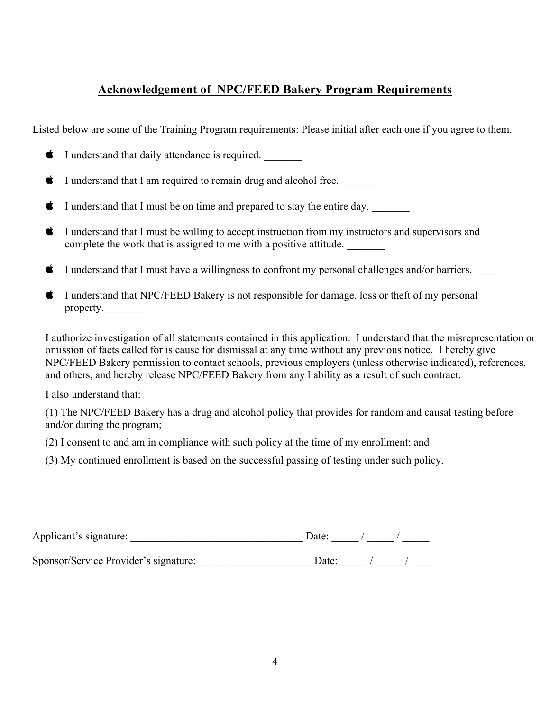# **Acknowledgement of NPC/FEED Bakery Program Requirements**

Listed below are some of the Training Program requirements: Please initial after each one if you agree to them.

- $\bullet$  I understand that daily attendance is required.
- $\bullet$  I understand that I am required to remain drug and alcohol free.
- $\bullet$  I understand that I must be on time and prepared to stay the entire day.
- $\bullet$  I understand that I must be willing to accept instruction from my instructors and supervisors and complete the work that is assigned to me with a positive attitude.
- I understand that I must have a willingness to confront my personal challenges and/or barriers.
- I understand that NPC/FEED Bakery is not responsible for damage, loss or theft of my personal property.

I authorize investigation of all statements contained in this application. I understand that the misrepresentation or omission of facts called for is cause for dismissal at any time without any previous notice. I hereby give NPC/FEED Bakery permission to contact schools, previous employers (unless otherwise indicated), references, and others, and hereby release NPC/FEED Bakery from any liability as a result of such contract.

I also understand that:

(1) The NPC/FEED Bakery has a drug and alcohol policy that provides for random and causal testing before and/or during the program;

(2) I consent to and am in compliance with such policy at the time of my enrollment; and

(3) My continued enrollment is based on the successful passing of testing under such policy.

| Applicant's signature:                | Date: |  |  |
|---------------------------------------|-------|--|--|
| Sponsor/Service Provider's signature: | Date: |  |  |